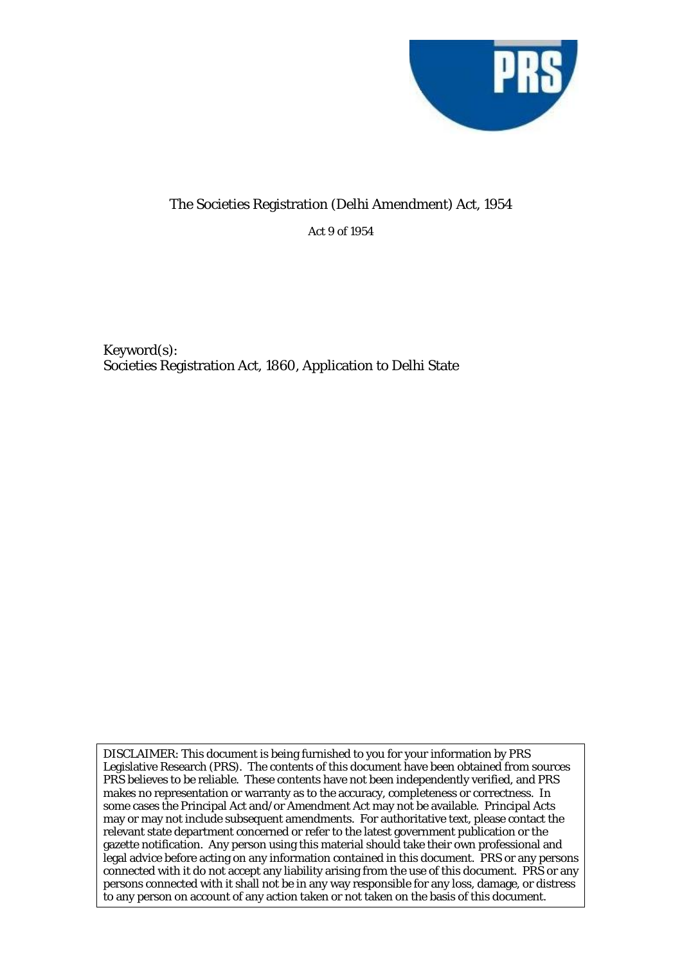

## The Societies Registration (Delhi Amendment) Act, 1954

Act 9 of 1954

Keyword(s): Societies Registration Act, 1860, Application to Delhi State

DISCLAIMER: This document is being furnished to you for your information by PRS Legislative Research (PRS). The contents of this document have been obtained from sources PRS believes to be reliable. These contents have not been independently verified, and PRS makes no representation or warranty as to the accuracy, completeness or correctness. In some cases the Principal Act and/or Amendment Act may not be available. Principal Acts may or may not include subsequent amendments. For authoritative text, please contact the relevant state department concerned or refer to the latest government publication or the gazette notification. Any person using this material should take their own professional and legal advice before acting on any information contained in this document. PRS or any persons connected with it do not accept any liability arising from the use of this document. PRS or any persons connected with it shall not be in any way responsible for any loss, damage, or distress to any person on account of any action taken or not taken on the basis of this document.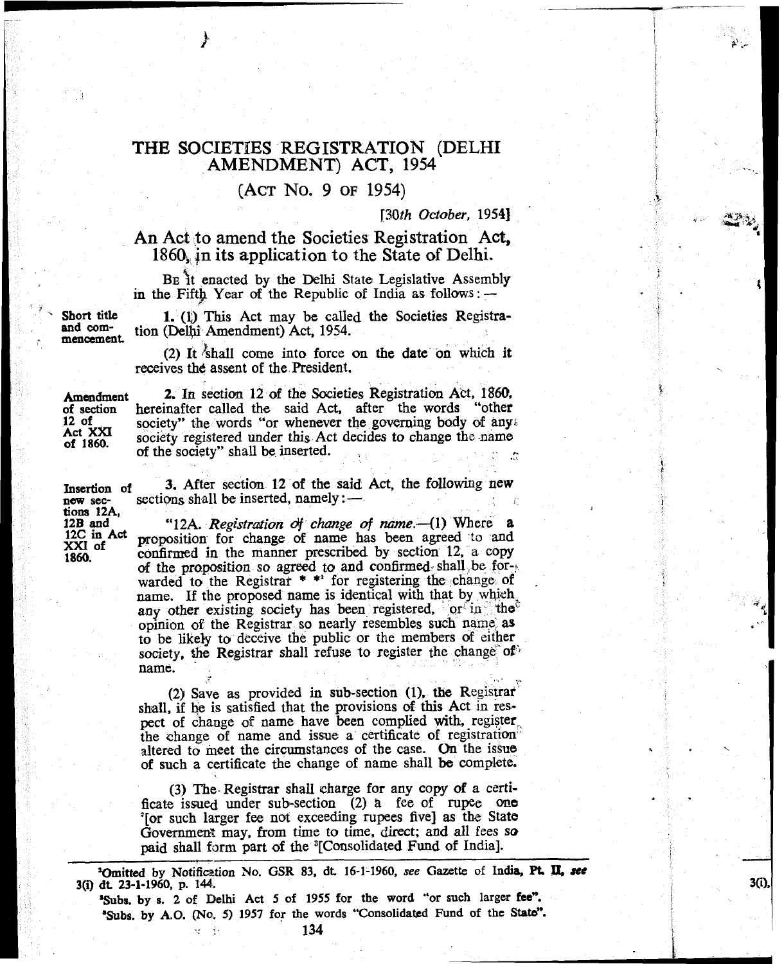## **THE SOCIETBES REGISTRATION (DELHI AMENDMENT) ACT, 1954**

## **(ACT** No. **9 OF 1954)**

*r30.th October,* **19543** '

## **An Act to amend the Societies Registration Act, 1860, in its application to the State of Delhi.**

Be it enacted by the Delhi State Legislative Assembly in the Fifth Year of the Republic of India as follows : -

Short title **1.** (1) This Act may be called the Societies Registra-<br>and com-<br>mencement. **ion (Delhi** Amendment) Act, 1954.

**(2)** It !shall come into force **an** the date on which **it**  receives the assent of the President.

Act XXI of 1860.

**Amendment 2.** In section 12 of the Societies Registration Act, 1860. <br> **of section** hereinafter called the said Act, after the words "other **of section hereinafter called the said Act, after the words "other** 12 of society" the words "or whenever the governing body of any society" the words "or whenever the governing body of any; society registered under this Act decides to change the name **of** the society" shall be inserted.

**Insetion of** 3. After section **12** of the said **Act,** the following new Insertion of **3.** After section 12 of the said Act, the following new sec- sections shall be inserted, namely :  $-$ 

**"12A.** *Registration of change of name.* (1) Where **a** proposition for change of name has been agreed to and 12B and **12A.** Registration of change of name -- (1) Where a 12C in Act proposition for change of name has been agreed to and XXI of **confirmed** in the manner prescribed by section 12, a copy **of** the proposition so agreed to and confirmed. shall be for-: warded to the Registrar  $*$  \* for registering the change of name. If the proposed name is identical with that by which. any other existing society has been registered, or in the opinion of the Registrar so nearly resembles such name as to be likely to deceive the public or the members of either society, the Registrar shall refuse to register the change of name. % . .-

**(2)** Save as provided in sub-section **(1). the** Registrar shall, if he is satisfied that the provisions of this Act in respect of change of name have been complied with, register<br>the change of name and issue a certificate of registration altered to meet the circumstances of the case. On the issue of such a certificate the change of name shall be complete.

**(3) The-** Registrar shall charge for any copy of a ccrtificate issued under sub-section (2) a fee of rupee one '[or such larger fee not exceeding rupees five] as the State Government may, from time to time, direct; and all fees so paid shall form part of the <sup>3</sup>[Consolidated Fund of India].

**'Omitted by Notifiation No. GSR 83, dt 16-1-1960, see Gazette of India, Pt. a see 3(i) dt 23-1-1960, p. 144.** 

 $3(i)$ 

**.Subs. by s. 2 of Delhi Act 5 of 1955 for the word "or such larger fee". 'Subs. by A.O. (No. 5) 1957 for the words "Consolidated Fund of the State".** 134